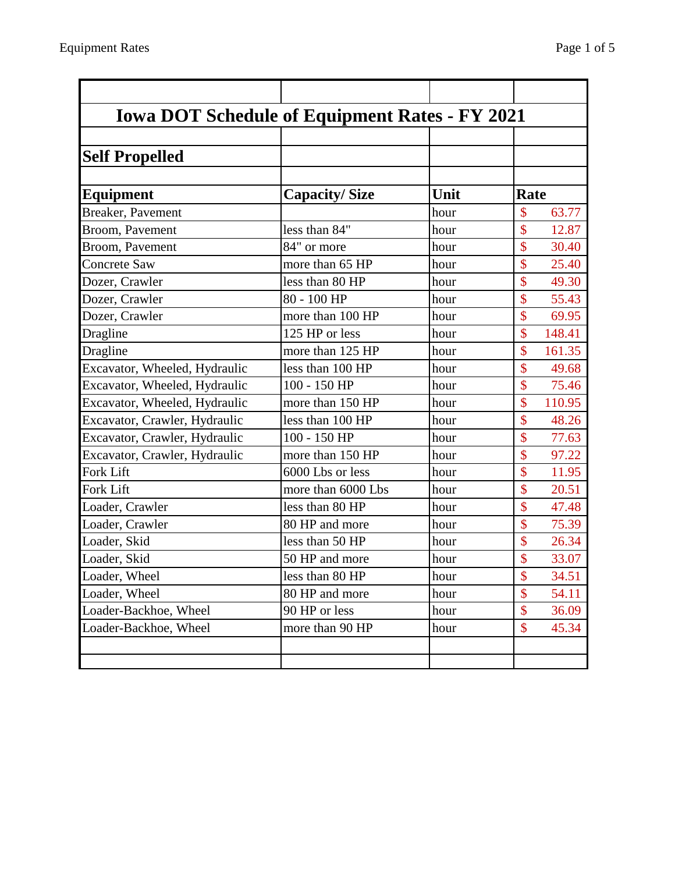| <b>Iowa DOT Schedule of Equipment Rates - FY 2021</b> |                      |      |                                     |
|-------------------------------------------------------|----------------------|------|-------------------------------------|
| <b>Self Propelled</b>                                 |                      |      |                                     |
|                                                       |                      |      |                                     |
| Equipment                                             | <b>Capacity/Size</b> | Unit | Rate                                |
| Breaker, Pavement                                     |                      | hour | \$<br>63.77                         |
| Broom, Pavement                                       | less than 84"        | hour | \$<br>12.87                         |
| Broom, Pavement                                       | 84" or more          | hour | $\mathsf{\$}$<br>30.40              |
| <b>Concrete Saw</b>                                   | more than 65 HP      | hour | \$<br>25.40                         |
| Dozer, Crawler                                        | less than 80 HP      | hour | \$<br>49.30                         |
| Dozer, Crawler                                        | 80 - 100 HP          | hour | \$<br>55.43                         |
| Dozer, Crawler                                        | more than 100 HP     | hour | $\mathsf{\$}$<br>69.95              |
| Dragline                                              | 125 HP or less       | hour | \$<br>148.41                        |
| Dragline                                              | more than 125 HP     | hour | \$<br>161.35                        |
| Excavator, Wheeled, Hydraulic                         | less than 100 HP     | hour | $\mathcal{S}$<br>49.68              |
| Excavator, Wheeled, Hydraulic                         | 100 - 150 HP         | hour | \$<br>75.46                         |
| Excavator, Wheeled, Hydraulic                         | more than 150 HP     | hour | \$<br>110.95                        |
| Excavator, Crawler, Hydraulic                         | less than 100 HP     | hour | \$<br>48.26                         |
| Excavator, Crawler, Hydraulic                         | 100 - 150 HP         | hour | $\boldsymbol{\mathsf{\$}}$<br>77.63 |
| Excavator, Crawler, Hydraulic                         | more than 150 HP     | hour | $\mathsf{\$}$<br>97.22              |
| Fork Lift                                             | 6000 Lbs or less     | hour | \$<br>11.95                         |
| <b>Fork Lift</b>                                      | more than 6000 Lbs   | hour | \$<br>20.51                         |
| Loader, Crawler                                       | less than 80 HP      | hour | \$<br>47.48                         |
| Loader, Crawler                                       | 80 HP and more       | hour | \$<br>75.39                         |
| Loader, Skid                                          | less than 50 HP      | hour | \$<br>26.34                         |
| Loader, Skid                                          | 50 HP and more       | hour | \$<br>33.07                         |
| Loader, Wheel                                         | less than 80 HP      | hour | \$<br>34.51                         |
| Loader, Wheel                                         | 80 HP and more       | hour | \$<br>54.11                         |
| Loader-Backhoe, Wheel                                 | 90 HP or less        | hour | \$<br>36.09                         |
| Loader-Backhoe, Wheel                                 | more than 90 HP      | hour | \$<br>45.34                         |
|                                                       |                      |      |                                     |
|                                                       |                      |      |                                     |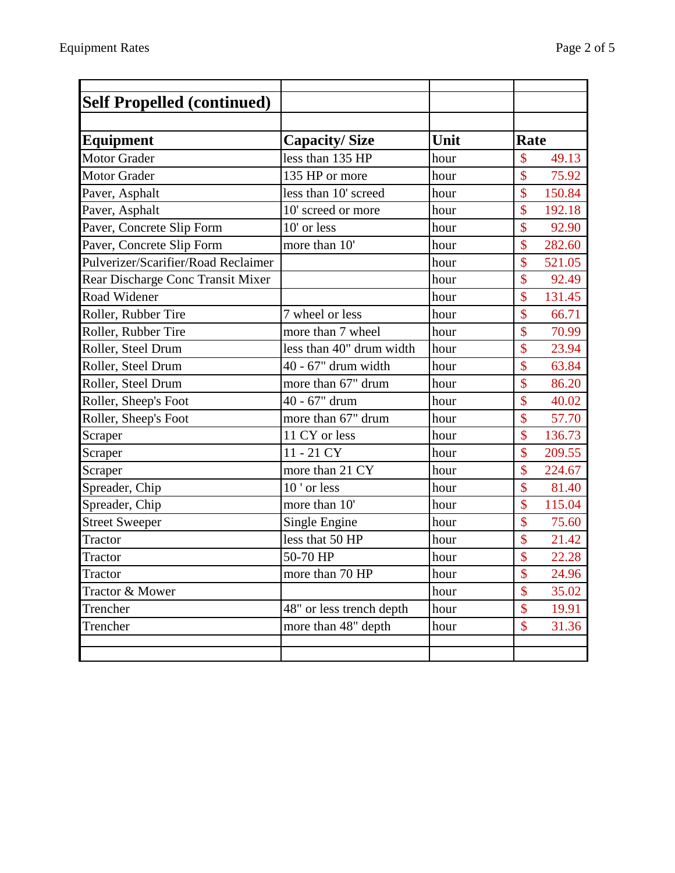| <b>Self Propelled (continued)</b>   |                          |      |                         |
|-------------------------------------|--------------------------|------|-------------------------|
|                                     |                          |      |                         |
| <b>Equipment</b>                    | <b>Capacity/Size</b>     | Unit | <b>Rate</b>             |
| <b>Motor Grader</b>                 | less than 135 HP         | hour | $\mathcal{S}$<br>49.13  |
| <b>Motor Grader</b>                 | 135 HP or more           | hour | \$<br>75.92             |
| Paver, Asphalt                      | less than 10' screed     | hour | \$<br>150.84            |
| Paver, Asphalt                      | 10' screed or more       | hour | \$<br>192.18            |
| Paver, Concrete Slip Form           | 10' or less              | hour | \$<br>92.90             |
| Paver, Concrete Slip Form           | more than 10'            | hour | $\mathsf{\$}$<br>282.60 |
| Pulverizer/Scarifier/Road Reclaimer |                          | hour | \$<br>521.05            |
| Rear Discharge Conc Transit Mixer   |                          | hour | $\mathsf{\$}$<br>92.49  |
| Road Widener                        |                          | hour | \$<br>131.45            |
| Roller, Rubber Tire                 | 7 wheel or less          | hour | \$<br>66.71             |
| Roller, Rubber Tire                 | more than 7 wheel        | hour | \$<br>70.99             |
| Roller, Steel Drum                  | less than 40" drum width | hour | \$<br>23.94             |
| Roller, Steel Drum                  | 40 - 67" drum width      | hour | \$<br>63.84             |
| Roller, Steel Drum                  | more than 67" drum       | hour | \$<br>86.20             |
| Roller, Sheep's Foot                | 40 - 67" drum            | hour | \$<br>40.02             |
| Roller, Sheep's Foot                | more than 67" drum       | hour | \$<br>57.70             |
| Scraper                             | 11 CY or less            | hour | \$<br>136.73            |
| Scraper                             | 11 - 21 CY               | hour | \$<br>209.55            |
| Scraper                             | more than 21 CY          | hour | $\mathbf{\$}$<br>224.67 |
| Spreader, Chip                      | 10' or less              | hour | $\mathbf{\$}$<br>81.40  |
| Spreader, Chip                      | more than 10'            | hour | \$<br>115.04            |
| <b>Street Sweeper</b>               | Single Engine            | hour | $\mathbf{\$}$<br>75.60  |
| Tractor                             | less that 50 HP          | hour | \$<br>21.42             |
| <b>Tractor</b>                      | 50-70 HP                 | hour | $\mathbf{\$\}$<br>22.28 |
| <b>Tractor</b>                      | more than 70 HP          | hour | \$<br>24.96             |
| Tractor & Mower                     |                          | hour | \$<br>35.02             |
| Trencher                            | 48" or less trench depth | hour | $\mathbf{\$\}$<br>19.91 |
| Trencher                            | more than 48" depth      | hour | \$<br>31.36             |
|                                     |                          |      |                         |
|                                     |                          |      |                         |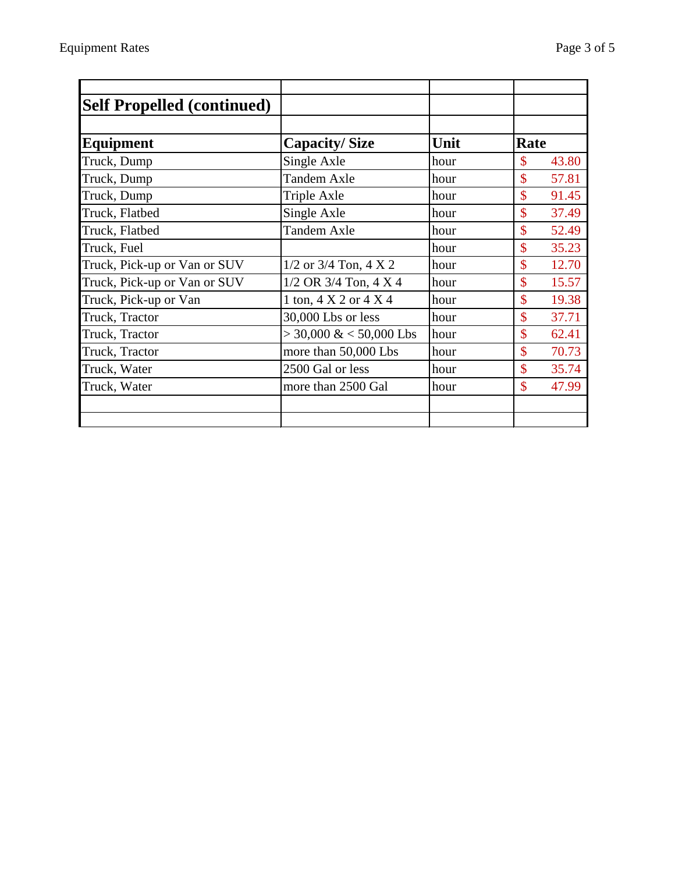| <b>Self Propelled (continued)</b> |                                     |      |                             |
|-----------------------------------|-------------------------------------|------|-----------------------------|
| <b>Equipment</b>                  | <b>Capacity/Size</b>                | Unit | Rate                        |
| Truck, Dump                       | Single Axle                         | hour | \$<br>43.80                 |
| Truck, Dump                       | <b>Tandem Axle</b>                  | hour | \$<br>57.81                 |
| Truck, Dump                       | <b>Triple Axle</b>                  | hour | \$<br>91.45                 |
| Truck, Flatbed                    | Single Axle                         | hour | \$<br>37.49                 |
| Truck, Flatbed                    | <b>Tandem Axle</b>                  | hour | \$<br>52.49                 |
| Truck, Fuel                       |                                     | hour | $\mathcal{S}$<br>35.23      |
| Truck, Pick-up or Van or SUV      | $1/2$ or $3/4$ Ton, $4 \times 2$    | hour | \$<br>12.70                 |
| Truck, Pick-up or Van or SUV      | $1/2$ OR 3/4 Ton, 4 X 4             | hour | $\mathcal{S}$<br>15.57      |
| Truck, Pick-up or Van             | 1 ton, $4 \times 2$ or $4 \times 4$ | hour | \$<br>19.38                 |
| Truck, Tractor                    | 30,000 Lbs or less                  | hour | $\mathcal{S}$<br>37.71      |
| Truck, Tractor                    | $>$ 30,000 & < 50,000 Lbs           | hour | $\mathcal{S}$<br>62.41      |
| Truck, Tractor                    | more than 50,000 Lbs                | hour | $\mathbf{\hat{S}}$<br>70.73 |
| Truck, Water                      | 2500 Gal or less                    | hour | $\mathbf{\hat{S}}$<br>35.74 |
| Truck, Water                      | more than 2500 Gal                  | hour | $\mathcal{S}$<br>47.99      |
|                                   |                                     |      |                             |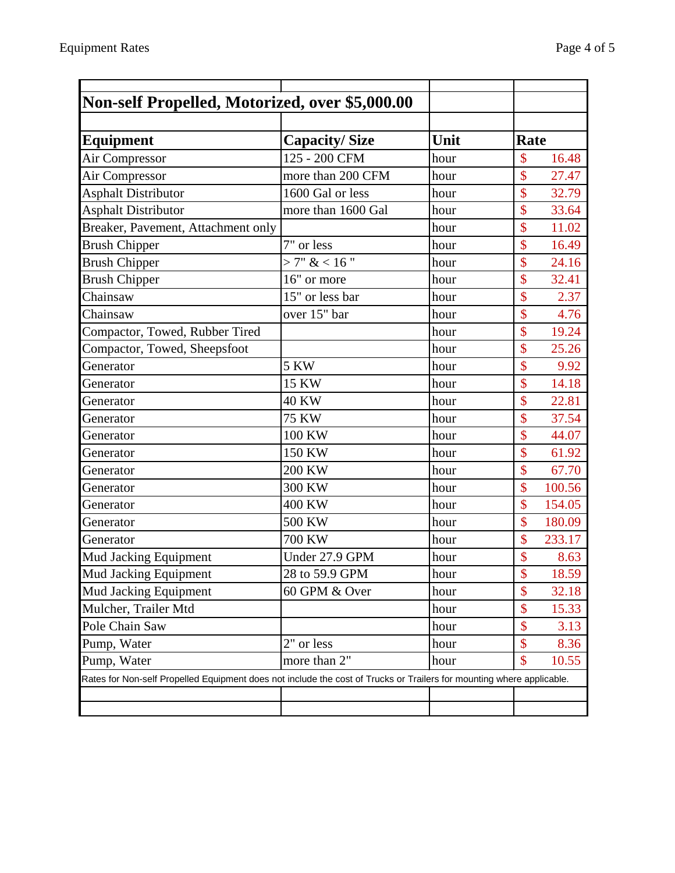| Non-self Propelled, Motorized, over \$5,000.00                                                                        |                      |      |                        |
|-----------------------------------------------------------------------------------------------------------------------|----------------------|------|------------------------|
|                                                                                                                       |                      |      |                        |
| Equipment                                                                                                             | <b>Capacity/Size</b> | Unit | Rate                   |
| Air Compressor                                                                                                        | 125 - 200 CFM        | hour | \$<br>16.48            |
| Air Compressor                                                                                                        | more than 200 CFM    | hour | \$<br>27.47            |
| <b>Asphalt Distributor</b>                                                                                            | 1600 Gal or less     | hour | \$<br>32.79            |
| <b>Asphalt Distributor</b>                                                                                            | more than 1600 Gal   | hour | \$<br>33.64            |
| Breaker, Pavement, Attachment only                                                                                    |                      | hour | \$<br>11.02            |
| <b>Brush Chipper</b>                                                                                                  | 7" or less           | hour | \$<br>16.49            |
| <b>Brush Chipper</b>                                                                                                  | >7" < 16"            | hour | \$<br>24.16            |
| <b>Brush Chipper</b>                                                                                                  | 16" or more          | hour | \$<br>32.41            |
| Chainsaw                                                                                                              | 15" or less bar      | hour | \$<br>2.37             |
| Chainsaw                                                                                                              | over 15" bar         | hour | \$<br>4.76             |
| Compactor, Towed, Rubber Tired                                                                                        |                      | hour | \$<br>19.24            |
| Compactor, Towed, Sheepsfoot                                                                                          |                      | hour | \$<br>25.26            |
| Generator                                                                                                             | <b>5 KW</b>          | hour | \$<br>9.92             |
| Generator                                                                                                             | 15 KW                | hour | \$<br>14.18            |
| Generator                                                                                                             | <b>40 KW</b>         | hour | \$<br>22.81            |
| Generator                                                                                                             | <b>75 KW</b>         | hour | \$<br>37.54            |
| Generator                                                                                                             | 100 KW               | hour | \$<br>44.07            |
| Generator                                                                                                             | 150 KW               | hour | \$<br>61.92            |
| Generator                                                                                                             | <b>200 KW</b>        | hour | \$<br>67.70            |
| Generator                                                                                                             | 300 KW               | hour | \$<br>100.56           |
| Generator                                                                                                             | 400 KW               | hour | \$<br>154.05           |
| Generator                                                                                                             | 500 KW               | hour | \$<br>180.09           |
| Generator                                                                                                             | 700 KW               | hour | \$<br>233.17           |
| <b>Mud Jacking Equipment</b>                                                                                          | Under 27.9 GPM       | hour | $\mathbf{\$\}$<br>8.63 |
| <b>Mud Jacking Equipment</b>                                                                                          | 28 to 59.9 GPM       | hour | \$<br>18.59            |
| Mud Jacking Equipment                                                                                                 | 60 GPM & Over        | hour | \$<br>32.18            |
| Mulcher, Trailer Mtd                                                                                                  |                      | hour | \$<br>15.33            |
| <b>Pole Chain Saw</b>                                                                                                 |                      | hour | \$<br>3.13             |
| Pump, Water                                                                                                           | 2" or less           | hour | \$<br>8.36             |
| Pump, Water                                                                                                           | more than 2"         | hour | \$<br>10.55            |
| Rates for Non-self Propelled Equipment does not include the cost of Trucks or Trailers for mounting where applicable. |                      |      |                        |
|                                                                                                                       |                      |      |                        |
|                                                                                                                       |                      |      |                        |